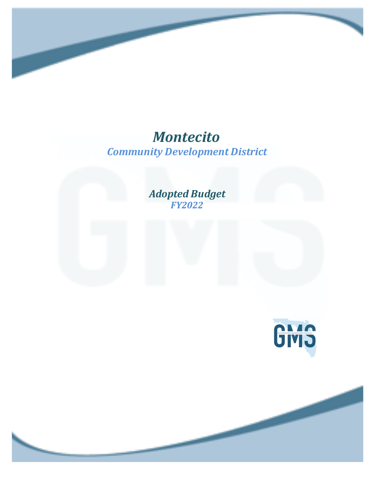## *Community Development District Montecito*

*Adopted Budget FY2022*

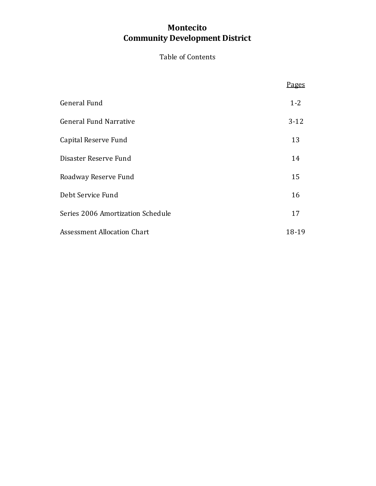## **Community Development District Montecito**

### Table of Contents

|                                    | <u>Pages</u> |
|------------------------------------|--------------|
| General Fund                       | $1 - 2$      |
| <b>General Fund Narrative</b>      | $3-12$       |
| Capital Reserve Fund               | 13           |
| Disaster Reserve Fund              | 14           |
| Roadway Reserve Fund               | 15           |
| Debt Service Fund                  | 16           |
| Series 2006 Amortization Schedule  | 17           |
| <b>Assessment Allocation Chart</b> | 18-19        |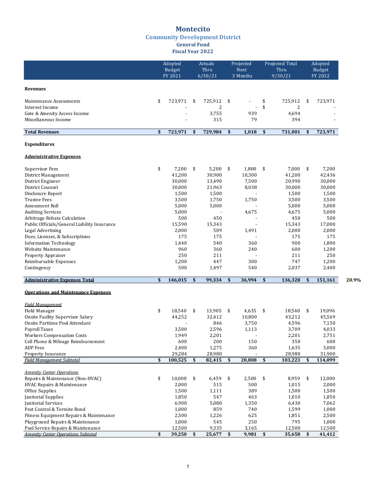### **Montecito**

#### **Community Development District**

#### **General Fund Fiscal Year 2022**

|                                                                              | Adopted<br>Budget<br>FY 2021 | Actuals<br>Thru<br>6/30/21 |     | Projected<br>Next<br>3 Months |            | Projected Total<br>Thru<br>9/30/21 | Adopted<br>Budget<br>FY 2022 |       |
|------------------------------------------------------------------------------|------------------------------|----------------------------|-----|-------------------------------|------------|------------------------------------|------------------------------|-------|
| <b>Revenues</b>                                                              |                              |                            |     |                               |            |                                    |                              |       |
| Maintenance Assessments                                                      | \$<br>723,971                | \$<br>725,912              | \$  |                               | \$         | 725,912                            | \$<br>723,971                |       |
| Interest Income                                                              |                              | 2                          |     | $\overline{\phantom{a}}$      | \$         | 2                                  |                              |       |
| Gate & Amenity Access Income<br>Miscellaneous Income                         |                              | 3,755<br>315               |     | 939                           |            | 4,694<br>394                       |                              |       |
|                                                                              |                              |                            |     | 79                            |            |                                    |                              |       |
| <b>Total Revenues</b>                                                        | \$<br>723,971                | \$<br>729,984              | \$  | 1,018                         | \$         | 731,001                            | \$<br>723,971                |       |
| <b>Expenditures</b>                                                          |                              |                            |     |                               |            |                                    |                              |       |
| <b>Administrative Expenses</b>                                               |                              |                            |     |                               |            |                                    |                              |       |
| <b>Supervisor Fees</b>                                                       | \$<br>7,200                  | \$<br>5,200                | \$  | 1,800                         | \$         | 7,000                              | \$<br>7,200                  |       |
| District Management                                                          | 41,200                       | 30,900                     |     | 10,300                        |            | 41,200                             | 42,436                       |       |
| District Engineer                                                            | 30,000                       | 13,490                     |     | 7,500                         |            | 20,990                             | 30,000                       |       |
| District Counsel                                                             | 30,000                       | 21,963                     |     | 8,038                         |            | 30,000                             | 30,000                       |       |
| Disclosure Report                                                            | 1,500                        | 1,500                      |     |                               |            | 1,500                              | 1,500                        |       |
| <b>Trustee Fees</b>                                                          | 3,500                        | 1,750                      |     | 1,750                         |            | 3,500                              | 3,500                        |       |
| Assessment Roll                                                              | 5,000                        | 5,000                      |     |                               |            | 5,000                              | 5,000                        |       |
| <b>Auditing Services</b>                                                     | 5,000<br>500                 |                            |     | 4,675                         |            | 4,675                              | 5,000<br>500                 |       |
| Arbitrage Rebate Calculation<br>Public Officials/General Liability Insurance | 15,590                       | 450<br>15,343              |     |                               |            | 450<br>15,343                      | 17,000                       |       |
| Legal Advertising                                                            | 2,000                        | 509                        |     | 1,491                         |            | 2,000                              | 2,000                        |       |
| Dues, Licenses, & Subscriptions                                              | 175                          | 175                        |     |                               |            | 175                                | 175                          |       |
| <b>Information Technology</b>                                                | 1,440                        | 540                        |     | 360                           |            | 900                                | 1,800                        |       |
| Website Maintenance                                                          | 960                          | 360                        |     | 240                           |            | 600                                | 1,200                        |       |
| <b>Property Appraiser</b>                                                    | 250                          | 211                        |     |                               |            | 211                                | 250                          |       |
| Reimbursable Expenses                                                        | 1,200                        | 447                        |     | 300                           |            | 747                                | 1,200                        |       |
| Contingency                                                                  | 500                          | 1,497                      |     | 540                           |            | 2,037                              | 2,400                        |       |
| <b>Administrative Expenses Total</b>                                         | \$<br>146,015                | \$<br>99,334               | \$  | 36,994                        | \$         | 136,328                            | \$<br>151,161                | 20.9% |
| <b>Operations and Maintenance Expenses</b>                                   |                              |                            |     |                               |            |                                    |                              |       |
| <b>Field Management</b>                                                      |                              |                            |     |                               |            |                                    |                              |       |
| Field Manager                                                                | \$<br>18,540                 | \$<br>13,905               | \$  | 4,635                         | \$         | 18,540                             | \$<br>19,096                 |       |
| <b>Onsite Facility Supervisor Salary</b>                                     | 44,252                       | 32,412                     |     | 10,800                        |            | 43,212                             | 45,569                       |       |
| Onsite Parttime Pool Attendant                                               |                              | 846                        |     | 3,750                         |            | 4,596                              | 7,150                        |       |
| <b>Payroll Taxes</b>                                                         | 3,500                        | 2,596                      |     | 1,113                         |            | 3,709                              | 4,033                        |       |
| <b>Workers Compensation Costs</b>                                            | 1,949                        | 2,201                      |     |                               |            | 2,201                              | 2,751                        |       |
| Cell Phone & Mileage Reimbursement                                           | 600                          | 200                        |     | 150                           |            | 350                                | 600                          |       |
| ADP Fees<br>Property Insurance                                               | 2,400<br>29,284              | 1,275<br>28,980            |     | 360                           |            | 1,635<br>28,980                    | 3,000<br>31,900              |       |
| <b>Field Management Subtotal</b>                                             | \$<br>100,525                | \$<br>82,415               | \$  | 20,808                        | \$         | 103,223                            | \$<br>114,099                |       |
|                                                                              |                              |                            |     |                               |            |                                    |                              |       |
| <b>Amenity Center Operations</b>                                             | \$<br>10,000                 | \$                         | \$  |                               |            | 8,959                              | \$<br>12,000                 |       |
| Repairs & Maintenance (Non-HVAC)<br>HVAC Repairs & Maintenance               | 2,000                        | 6,459<br>515               |     | 2,500<br>500                  | \$         | 1,015                              | 2,000                        |       |
| Office Supplies                                                              | 1,500                        | 1,111                      |     | 389                           |            | 1,500                              | 1,500                        |       |
| Janitorial Supplies                                                          | 1,850                        | 547                        |     | 463                           |            | 1,010                              | 1,850                        |       |
| Janitorial Services                                                          | 6,900                        | 5,080                      |     | 1,350                         |            | 6,430                              | 7,062                        |       |
| Pest Control & Termite Bond                                                  | 1,000                        | 859                        |     | 740                           |            | 1,599                              | 1,000                        |       |
| Fitness Equipment Repairs & Maintenance                                      | 2,500                        | 1,226                      |     | 625                           |            | 1,851                              | 2,500                        |       |
| Playground Repairs & Maintenance                                             | 1,000                        | 545                        |     | 250                           |            | 795                                | 1,000                        |       |
| Pool Service Repairs & Maintenance                                           | 12,500                       | 9,335                      |     | 3,165                         |            | 12,500                             | 12,500                       |       |
| <b>Amenity Center Operations Subtotal</b>                                    | \$<br>39,250 \$              | 25,677                     | -\$ | 9,981                         | $\sqrt{5}$ | 35,658                             | \$<br>41,412                 |       |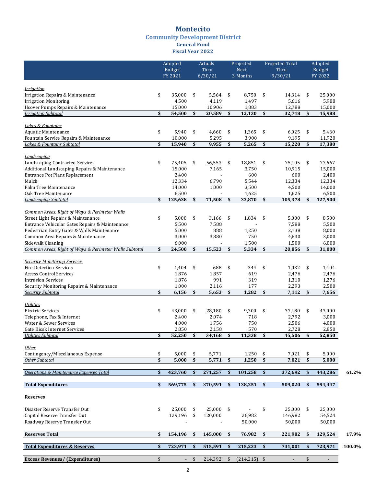### **Montecito**

### **Community Development District**

**General Fund Fiscal Year 2022**

|                                                                             |          | Adopted<br>Budget<br>FY 2021 |                           | Actuals<br>Thru<br>6/30/21 |                           | Projected<br>Next<br>3 Months |          | Projected Total<br>Thru<br>9/30/21 |          | Adopted<br><b>Budget</b><br>FY 2022 |        |
|-----------------------------------------------------------------------------|----------|------------------------------|---------------------------|----------------------------|---------------------------|-------------------------------|----------|------------------------------------|----------|-------------------------------------|--------|
|                                                                             |          |                              |                           |                            |                           |                               |          |                                    |          |                                     |        |
| Irrigation                                                                  |          |                              |                           |                            |                           |                               |          |                                    |          |                                     |        |
| Irrigation Repairs & Maintenance                                            | \$       | 35,000                       | \$                        | 5,564                      | \$                        | 8,750                         | \$       | 14,314                             | \$       | 25,000                              |        |
| <b>Irrigation Monitoring</b>                                                |          | 4,500                        |                           | 4,119                      |                           | 1,497                         |          | 5,616                              |          | 5,988                               |        |
| Hoover Pumps Repairs & Maintenance                                          | \$       | 15,000                       | $\boldsymbol{\mathsf{s}}$ | 10,906                     | $\boldsymbol{\mathsf{s}}$ | 1,883                         | \$       | 12,788                             |          | 15,000                              |        |
| <b>Irrigation Subtotal</b>                                                  |          | 54,500                       |                           | 20,589                     |                           | 12,130                        |          | 32,718                             | \$       | 45,988                              |        |
| <b>Lakes &amp; Fountains</b>                                                |          |                              |                           |                            |                           |                               |          |                                    |          |                                     |        |
| Aquatic Maintenance                                                         | \$       | 5,940                        | \$                        | 4,660                      | \$                        | 1,365                         | \$       | 6,025                              | \$       | 5,460                               |        |
| Fountain Service Repairs & Maintenance                                      |          | 10,000                       |                           | 5,295                      |                           | 3,900                         |          | 9,195                              |          | 11,920                              |        |
| Lakes & Fountains Subtotal                                                  | \$       | 15,940                       | \$                        | 9,955                      | \$                        | 5,265                         | \$       | 15,220                             | \$       | 17,380                              |        |
|                                                                             |          |                              |                           |                            |                           |                               |          |                                    |          |                                     |        |
| Landscaping                                                                 |          |                              |                           |                            |                           |                               |          |                                    |          |                                     |        |
| Landscaping Contracted Services                                             | \$       | 75,405                       | \$                        | 56,553                     | \$                        | 18,851                        | \$       | 75,405                             | \$       | 77,667                              |        |
| Additional Landscaping Repairs & Maintenance                                |          | 15,000                       |                           | 7,165                      |                           | 3,750                         |          | 10,915                             |          | 15,000                              |        |
| Entrance Pot Plant Replacement                                              |          | 2,400                        |                           |                            |                           | 600                           |          | 600                                |          | 2,400                               |        |
| Mulch                                                                       |          | 12,334                       |                           | 6,790                      |                           | 5,544                         |          | 12,334                             |          | 12,334                              |        |
| Palm Tree Maintenance                                                       |          | 14,000                       |                           | 1,000                      |                           | 3,500                         |          | 4,500                              |          | 14,000                              |        |
| Oak Tree Maintenance                                                        |          | 6,500                        |                           |                            |                           | 1,625                         |          | 1,625                              |          | 6,500                               |        |
| Landscaping Subtotal                                                        | \$       | 125,638                      | \$                        | 71,508                     | \$                        | 33,870                        | \$       | 105,378                            | \$       | 127,900                             |        |
|                                                                             |          |                              |                           |                            |                           |                               |          |                                    |          |                                     |        |
| Common Areas. Right of Ways & Perimeter Walls                               |          |                              |                           |                            |                           |                               |          |                                    |          |                                     |        |
| Street Light Repairs & Maintenance                                          | \$       | 5,000                        | \$                        | 3,166                      | \$                        | 1,834                         | \$       | 5,000                              | \$       | 8,500                               |        |
| Entrance Vehicular Gates Repairs & Maintenance                              |          | 5,500                        |                           | 7,588                      |                           |                               |          | 7,588                              |          | 5,500                               |        |
| Pedestrian Entry Gates & Walls Maintenance                                  |          | 5,000                        |                           | 888                        |                           | 1,250                         |          | 2,138                              |          | 8,000                               |        |
| Common Area Repairs & Maintenance                                           |          | 3,000                        |                           | 3,880                      |                           | 750                           |          | 4,630                              |          | 3,000                               |        |
| Sidewalk Cleaning<br>Common Areas, Right of Ways & Perimeter Walls Subtotal | \$       | 6,000<br>24,500              | \$                        | 15,523                     | \$                        | 1,500<br>5,334                | \$       | 1,500<br>20,856                    | \$       | 6,000<br>31,000                     |        |
|                                                                             |          |                              |                           |                            |                           |                               |          |                                    |          |                                     |        |
| <b>Security Monitoring Services</b>                                         |          |                              |                           |                            |                           |                               |          |                                    |          |                                     |        |
| <b>Fire Detection Services</b>                                              | \$       | 1,404                        | \$                        | 688                        | \$                        | 344                           | \$       | 1,032                              | \$       | 1,404                               |        |
| <b>Access Control Services</b>                                              |          | 1,876                        |                           | 1,857                      |                           | 619                           |          | 2,476                              |          | 2,476                               |        |
| <b>Intrusion Services</b>                                                   |          | 1,876                        |                           | 991                        |                           | 319                           |          | 1,310                              |          | 1,276                               |        |
| Security Monitoring Repairs & Maintenance                                   |          | 1,000                        |                           | 2,116                      |                           | 177                           |          | 2,293                              |          | 2,500                               |        |
| <b>Security Subtotal</b>                                                    | \$       | 6,156                        | \$                        | 5,653                      | \$                        | 1,282                         | \$       | 7,112                              | \$       | 7,656                               |        |
|                                                                             |          |                              |                           |                            |                           |                               |          |                                    |          |                                     |        |
| <b>Utilities</b>                                                            |          |                              |                           |                            |                           |                               |          |                                    |          |                                     |        |
| <b>Electric Services</b>                                                    | \$       | 43,000                       | \$                        | 28,180                     | \$                        | 9,300                         | \$       | 37,480                             | \$       | 43,000                              |        |
| Telephone, Fax & Internet                                                   |          | 2,400                        |                           | 2,074                      |                           | 718                           |          | 2,792                              |          | 3,000                               |        |
| Water & Sewer Services                                                      |          | 4,000                        |                           | 1,756                      |                           | 750                           |          | 2,506                              |          | 4,000                               |        |
| Gate Kiosk Internet Services                                                |          | 2,850                        |                           | 2,158                      |                           | 570                           |          | 2,728                              |          | 2,850                               |        |
| <b>Utilities Subtotal</b>                                                   | \$       | 52,250                       |                           | 34,168                     | \$                        | 11,338                        | \$       | 45,506                             | \$       | 52,850                              |        |
|                                                                             |          |                              |                           |                            |                           |                               |          |                                    |          |                                     |        |
| Other                                                                       |          | 5,000                        |                           | 5,771                      |                           |                               |          | 7,021                              |          | 5,000                               |        |
| Contingency/Miscellaneous Expense<br>Other Subtotal                         | \$<br>\$ | 5,000                        | \$<br>\$                  | 5,771                      | \$                        | 1,250<br>1,250                | \$<br>\$ | 7,021                              | \$<br>\$ | 5,000                               |        |
|                                                                             |          |                              |                           |                            |                           |                               |          |                                    |          |                                     |        |
| Operations & Maintenance Expenses Total                                     | \$       | 423,760                      | \$                        | 271,257                    | \$                        | 101,258                       | \$       | 372,692                            | \$       | 443,286                             | 61.2%  |
| <b>Total Expenditures</b>                                                   | \$       | 569,775                      | \$                        | 370,591                    | \$                        | 138,251                       | \$       | 509,020                            | \$       | 594,447                             |        |
| <b>Reserves</b>                                                             |          |                              |                           |                            |                           |                               |          |                                    |          |                                     |        |
| Disaster Reserve Transfer Out                                               | \$       | 25,000                       | \$                        | 25,000                     | \$                        |                               | \$       | 25,000                             | \$       | 25,000                              |        |
| Capital Reserve Transfer Out                                                |          | 129,196                      | \$                        | 120,000                    |                           | 26,982                        |          | 146,982                            |          | 54,524                              |        |
| Roadway Reserve Transfer Out                                                |          |                              |                           |                            |                           | 50,000                        |          | 50,000                             |          | 50,000                              |        |
|                                                                             |          |                              |                           |                            |                           |                               |          |                                    |          |                                     |        |
| <b>Reserves Total</b>                                                       | \$       | 154,196                      | \$                        | 145,000                    | \$                        | 76,982                        | \$       | 221,982                            | \$       | 129,524                             | 17.9%  |
| <b>Total Expenditures &amp; Reserves</b>                                    | \$       | 723,971                      | \$                        | 515,591                    | \$                        | 215,233                       | \$       | 731,001                            | \$       | 723,971                             | 100.0% |
| <b>Excess Revenues/ (Expenditures)</b>                                      | \$       | $\sim$                       | \$                        | 214,392                    | \$                        | $(214,215)$ \$                |          | $\overline{\phantom{a}}$           | \$       | $\blacksquare$                      |        |
|                                                                             |          |                              |                           |                            |                           |                               |          |                                    |          |                                     |        |

2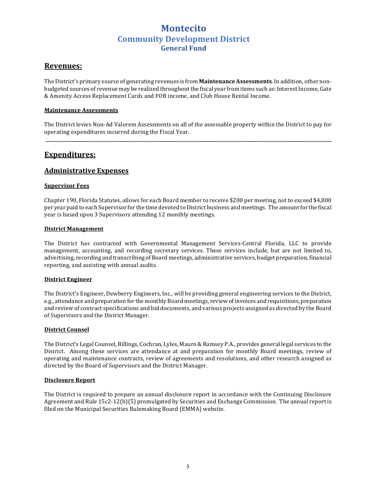#### **Revenues:**

The District's primary source of generating revenues is from **Maintenance Assessments**. In addition, other nonbudgeted sources of revenue may be realized throughout the fiscal year from items such as: Interest Income, Gate & Amenity Access Replacement Cards and FOB income, and Club House Rental Income.

#### **Maintenance Assessments**

The District levies Non-Ad Valorem Assessments on all of the assessable property within the District to pay for operating expenditures incurred during the Fiscal Year.  **\_\_\_\_\_\_\_\_\_\_\_\_\_\_\_\_\_\_\_\_\_\_\_\_\_\_\_\_\_\_\_\_\_\_\_\_\_\_\_\_\_\_\_\_\_\_\_\_\_\_\_\_\_\_\_\_\_\_\_\_\_\_\_\_\_\_\_\_\_\_\_\_\_\_\_\_\_\_\_\_\_\_\_\_\_\_\_\_\_\_\_\_\_\_\_\_\_\_\_\_\_\_\_\_\_\_\_\_\_\_\_\_\_\_\_\_\_\_\_\_\_\_\_\_\_\_\_** 

### **Expenditures:**

#### **Administrative Expenses**

#### **Supervisor Fees**

Chapter 190, Florida Statutes, allows for each Board member to receive \$200 per meeting, not to exceed \$4,800 per year paid to each Supervisor for the time devoted to District business and meetings. The amount for the fiscal year is based upon 3 Supervisors attending 12 monthly meetings.

#### **District Management**

The District has contracted with Governmental Management Services-Central Florida, LLC to provide management, accounting, and recording secretary services. These services include, but are not limited to, advertising, recording and transcribing of Board meetings, administrative services, budget preparation, financial reporting, and assisting with annual audits.

#### **District Engineer**

The District's Engineer, Dewberry Engineers, Inc., will be providing general engineering services to the District, e.g., attendance and preparation for the monthly Board meetings, review of invoices and requisitions, preparation and review of contract specifications and bid documents, and various projects assigned as directed by the Board of Supervisors and the District Manager.

#### **District Counsel**

The District's Legal Counsel, Billings, Cochran, Lyles, Mauro & Ramsey P.A., provides general legal services to the District. Among these services are attendance at and preparation for monthly Board meetings, review of operating and maintenance contracts, review of agreements and resolutions, and other research assigned as directed by the Board of Supervisors and the District Manager.

#### **Disclosure Report**

The District is required to prepare an annual disclosure report in accordance with the Continuing Disclosure Agreement and Rule  $15c2-12(b)(5)$  promulgated by Securities and Exchange Commission. The annual report is filed on the Municipal Securities Rulemaking Board (EMMA) website.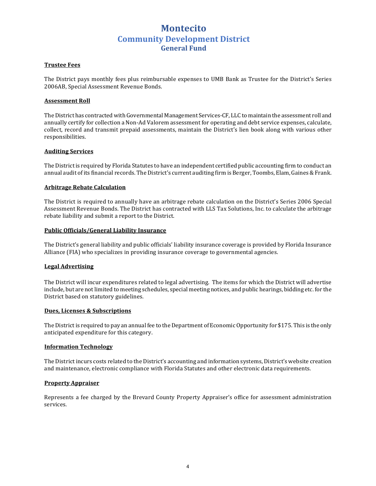#### **Trustee Fees**

The District pays monthly fees plus reimbursable expenses to UMB Bank as Trustee for the District's Series 2006AB, Special Assessment Revenue Bonds.

#### **Assessment Roll**

The District has contracted with Governmental Management Services-CF, LLC to maintain the assessment roll and annually certify for collection a Non-Ad Valorem assessment for operating and debt service expenses, calculate, collect, record and transmit prepaid assessments, maintain the District's lien book along with various other responsibilities. 

#### **Auditing Services**

The District is required by Florida Statutes to have an independent certified public accounting firm to conduct an annual audit of its financial records. The District's current auditing firm is Berger, Toombs, Elam, Gaines & Frank.

#### **Arbitrage Rebate Calculation**

The District is required to annually have an arbitrage rebate calculation on the District's Series 2006 Special Assessment Revenue Bonds. The District has contracted with LLS Tax Solutions, Inc. to calculate the arbitrage rebate liability and submit a report to the District.

#### **Public Officials/General Liability Insurance**

The District's general liability and public officials' liability insurance coverage is provided by Florida Insurance Alliance (FIA) who specializes in providing insurance coverage to governmental agencies.

#### **Legal Advertising**

The District will incur expenditures related to legal advertising. The items for which the District will advertise include, but are not limited to meeting schedules, special meeting notices, and public hearings, bidding etc. for the District based on statutory guidelines.

#### **Dues, Licenses & Subscriptions**

The District is required to pay an annual fee to the Department of Economic Opportunity for \$175. This is the only anticipated expenditure for this category.

#### **Information Technology**

The District incurs costs related to the District's accounting and information systems, District's website creation and maintenance, electronic compliance with Florida Statutes and other electronic data requirements.

#### **Property Appraiser**

Represents a fee charged by the Brevard County Property Appraiser's office for assessment administration services.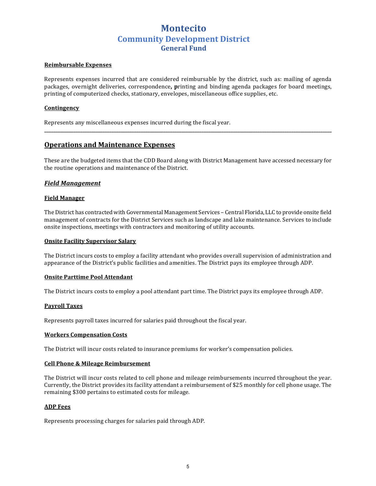#### **Reimbursable Expenses**

Represents expenses incurred that are considered reimbursable by the district, such as: mailing of agenda packages, overnight deliveries, correspondence, printing and binding agenda packages for board meetings, printing of computerized checks, stationary, envelopes, miscellaneous office supplies, etc.

#### **Contingency**

Represents any miscellaneous expenses incurred during the fiscal year.

#### **Operations and Maintenance Expenses**

These are the budgeted items that the CDD Board along with District Management have accessed necessary for the routine operations and maintenance of the District.

**\_\_\_\_\_\_\_\_\_\_\_\_\_\_\_\_\_\_\_\_\_\_\_\_\_\_\_\_\_\_\_\_\_\_\_\_\_\_\_\_\_\_\_\_\_\_\_\_\_\_\_\_\_\_\_\_\_\_\_\_\_\_\_\_\_\_\_\_\_\_\_\_\_\_\_\_\_\_\_\_\_\_\_\_\_\_\_\_\_\_\_\_\_\_\_\_\_\_\_\_\_\_\_\_\_\_\_\_\_\_\_\_\_\_\_\_\_\_\_\_\_\_\_\_\_\_\_\_** 

#### *Field Management*

#### **Field Manager**

The District has contracted with Governmental Management Services - Central Florida, LLC to provide onsite field management of contracts for the District Services such as landscape and lake maintenance. Services to include onsite inspections, meetings with contractors and monitoring of utility accounts.

#### **Onsite Facility Supervisor Salary**

The District incurs costs to employ a facility attendant who provides overall supervision of administration and appearance of the District's public facilities and amenities. The District pays its employee through ADP.

#### **Onsite Parttime Pool Attendant**

The District incurs costs to employ a pool attendant part time. The District pays its employee through ADP.

#### **Payroll Taxes**

Represents payroll taxes incurred for salaries paid throughout the fiscal year.

#### **Workers Compensation Costs**

The District will incur costs related to insurance premiums for worker's compensation policies.

#### **Cell Phone & Mileage Reimbursement**

The District will incur costs related to cell phone and mileage reimbursements incurred throughout the year. Currently, the District provides its facility attendant a reimbursement of \$25 monthly for cell phone usage. The remaining \$300 pertains to estimated costs for mileage.

#### **ADP** Fees

Represents processing charges for salaries paid through ADP.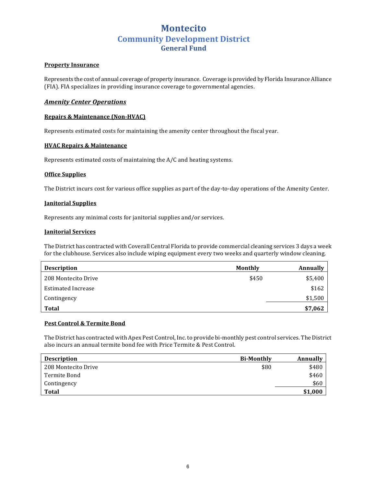#### **Property Insurance**

Represents the cost of annual coverage of property insurance. Coverage is provided by Florida Insurance Alliance (FIA). FIA specializes in providing insurance coverage to governmental agencies.

#### *Amenity Center Operations*

#### **Repairs & Maintenance (Non-HVAC)**

Represents estimated costs for maintaining the amenity center throughout the fiscal year.

#### **HVAC Repairs & Maintenance**

Represents estimated costs of maintaining the  $A/C$  and heating systems.

#### **Office Supplies**

The District incurs cost for various office supplies as part of the day-to-day operations of the Amenity Center.

#### **Janitorial Supplies**

Represents any minimal costs for janitorial supplies and/or services.

#### **Janitorial Services**

The District has contracted with Coverall Central Florida to provide commercial cleaning services 3 days a week for the clubhouse. Services also include wiping equipment every two weeks and quarterly window cleaning.

| <b>Description</b>  | Monthly | Annually |
|---------------------|---------|----------|
| 208 Montecito Drive | \$450   | \$5,400  |
| Estimated Increase  |         | \$162    |
| Contingency         |         | \$1,500  |
| Total               |         | \$7,062  |

#### **Pest Control & Termite Bond**

The District has contracted with Apex Pest Control, Inc. to provide bi-monthly pest control services. The District also incurs an annual termite bond fee with Price Termite & Pest Control.

| <b>Description</b>  | <b>Bi-Monthly</b> | Annually |
|---------------------|-------------------|----------|
| 208 Montecito Drive | \$80              | \$480    |
| Termite Bond        |                   | \$460    |
| Contingency         |                   | \$60     |
| Total               |                   | \$1,000  |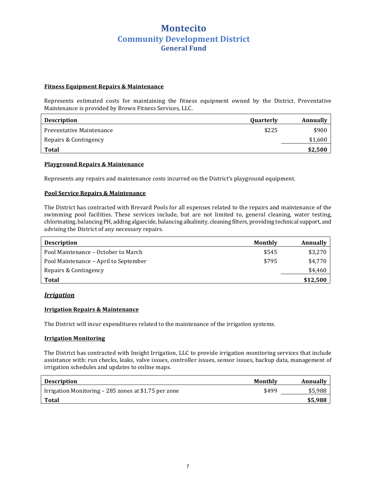#### **Fitness Equipment Repairs & Maintenance**

Represents estimated costs for maintaining the fitness equipment owned by the District. Preventative Maintenance is provided by Brown Fitness Services, LLC.

| <b>Description</b>       | <b>Quarterly</b> | Annually |
|--------------------------|------------------|----------|
| Preventative Maintenance | \$225            | \$900    |
| Repairs & Contingency    |                  | \$1,600  |
| <b>Total</b>             |                  | \$2,500  |

#### **Playground Repairs & Maintenance**

Represents any repairs and maintenance costs incurred on the District's playground equipment.

#### **Pool Service Repairs & Maintenance**

The District has contracted with Brevard Pools for all expenses related to the repairs and maintenance of the swimming pool facilities. These services include, but are not limited to, general cleaning, water testing, chlorinating, balancing PH, adding algaecide, balancing alkalinity, cleaning filters, providing technical support, and advising the District of any necessary repairs.

| <b>Description</b>                    | Monthly | Annually |
|---------------------------------------|---------|----------|
| Pool Maintenance – October to March   | \$545   | \$3,270  |
| Pool Maintenance – April to September | \$795   | \$4.770  |
| Repairs & Contingency                 |         | \$4,460  |
| Total                                 |         | \$12,500 |

#### *Irrigation*

#### **Irrigation Repairs & Maintenance**

The District will incur expenditures related to the maintenance of the irrigation systems.

#### **Irrigation Monitoring**

The District has contracted with Insight Irrigation, LLC to provide irrigation monitoring services that include assistance with: run checks, leaks, valve issues, controller issues, sensor issues, backup data, management of irrigation schedules and updates to online maps.

| <b>Description</b>                                   | Monthly | Annually |
|------------------------------------------------------|---------|----------|
| Irrigation Monitoring – 285 zones at \$1.75 per zone | \$499   | \$5.988  |
| <b>Total</b>                                         |         | \$5,988  |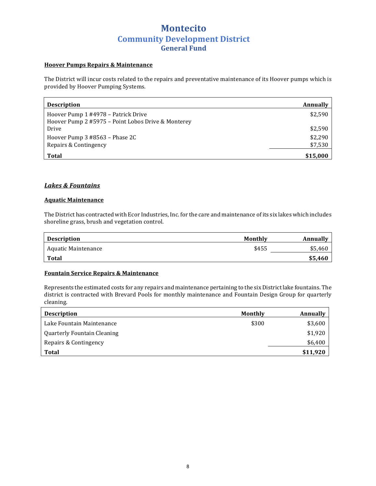#### **Hoover Pumps Repairs & Maintenance**

The District will incur costs related to the repairs and preventative maintenance of its Hoover pumps which is provided by Hoover Pumping Systems.

| <b>Description</b>                                 | Annually |
|----------------------------------------------------|----------|
| Hoover Pump 1 #4978 – Patrick Drive                | \$2,590  |
| Hoover Pump 2 #5975 - Point Lobos Drive & Monterey |          |
| Drive                                              | \$2,590  |
| Hoover Pump 3 #8563 – Phase 2C                     | \$2,290  |
| Repairs & Contingency                              | \$7,530  |
| <b>Total</b>                                       | \$15,000 |

#### *Lakes & Fountains*

#### **Aquatic Maintenance**

The District has contracted with Ecor Industries, Inc. for the care and maintenance of its six lakes which includes shoreline grass, brush and vegetation control.

| <b>Description</b>  | Monthly | Annually |
|---------------------|---------|----------|
| Aquatic Maintenance | \$455   | \$5,460  |
| Total               |         | \$5,460  |

#### **Fountain Service Repairs & Maintenance**

Represents the estimated costs for any repairs and maintenance pertaining to the six District lake fountains. The district is contracted with Brevard Pools for monthly maintenance and Fountain Design Group for quarterly cleaning.

| <b>Description</b>          | Monthly | Annually |
|-----------------------------|---------|----------|
| Lake Fountain Maintenance   | \$300   | \$3,600  |
| Quarterly Fountain Cleaning |         | \$1,920  |
| Repairs & Contingency       |         | \$6,400  |
| Total                       |         | \$11,920 |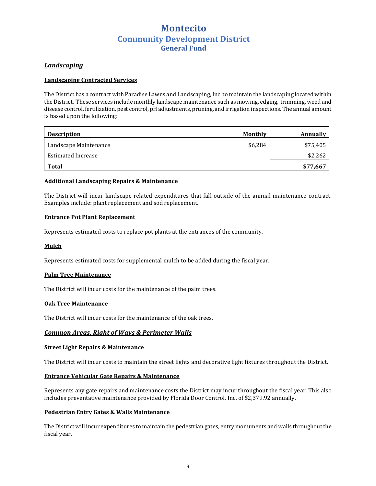#### *Landscaping*

#### **Landscaping Contracted Services**

The District has a contract with Paradise Lawns and Landscaping, Inc. to maintain the landscaping located within the District. These services include monthly landscape maintenance such as mowing, edging, trimming, weed and disease control, fertilization, pest control, pH adjustments, pruning, and irrigation inspections. The annual amount is based upon the following:

| <b>Description</b>        | Monthly | Annually |
|---------------------------|---------|----------|
| Landscape Maintenance     | \$6.284 | \$75,405 |
| <b>Estimated Increase</b> |         | \$2,262  |
| <b>Total</b>              |         | \$77,667 |

#### **Additional Landscaping Repairs & Maintenance**

The District will incur landscape related expenditures that fall outside of the annual maintenance contract. Examples include: plant replacement and sod replacement.

#### **Entrance Pot Plant Replacement**

Represents estimated costs to replace pot plants at the entrances of the community.

#### **Mulch**

Represents estimated costs for supplemental mulch to be added during the fiscal year.

#### **Palm Tree Maintenance**

The District will incur costs for the maintenance of the palm trees.

#### **Oak Tree Maintenance**

The District will incur costs for the maintenance of the oak trees.

#### **Common Areas, Right of Ways & Perimeter Walls**

#### **Street Light Repairs & Maintenance**

The District will incur costs to maintain the street lights and decorative light fixtures throughout the District.

#### **Entrance Vehicular Gate Repairs & Maintenance**

Represents any gate repairs and maintenance costs the District may incur throughout the fiscal year. This also includes preventative maintenance provided by Florida Door Control, Inc. of \$2,379.92 annually.

#### **Pedestrian Entry Gates & Walls Maintenance**

The District will incur expenditures to maintain the pedestrian gates, entry monuments and walls throughout the fiscal year.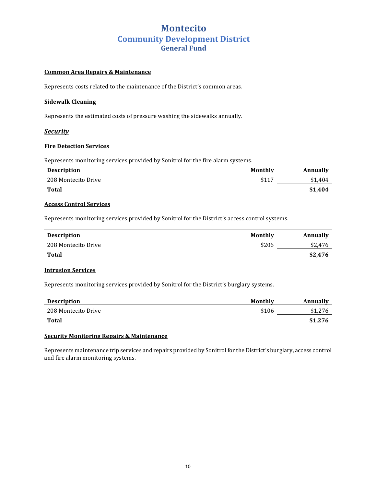#### **Common Area Repairs & Maintenance**

Represents costs related to the maintenance of the District's common areas.

#### **Sidewalk Cleaning**

Represents the estimated costs of pressure washing the sidewalks annually.

#### *Security*

#### **Fire Detection Services**

Represents monitoring services provided by Sonitrol for the fire alarm systems.

| <b>Description</b>  | Monthly | Annually |
|---------------------|---------|----------|
| 208 Montecito Drive | \$117   | \$1,404  |
| Total               |         | \$1.404  |

#### **Access Control Services**

Represents monitoring services provided by Sonitrol for the District's access control systems.

| <b>Description</b>  | Monthly | Annually |
|---------------------|---------|----------|
| 208 Montecito Drive | \$206   | \$2.476  |
| Total               |         | \$2,476  |

#### **Intrusion Services**

Represents monitoring services provided by Sonitrol for the District's burglary systems.

| <b>Description</b>  | Monthly | Annually |
|---------------------|---------|----------|
| 208 Montecito Drive | \$106   |          |
| Total               |         | \$1,276  |

#### **Security Monitoring Repairs & Maintenance**

Represents maintenance trip services and repairs provided by Sonitrol for the District's burglary, access control and fire alarm monitoring systems.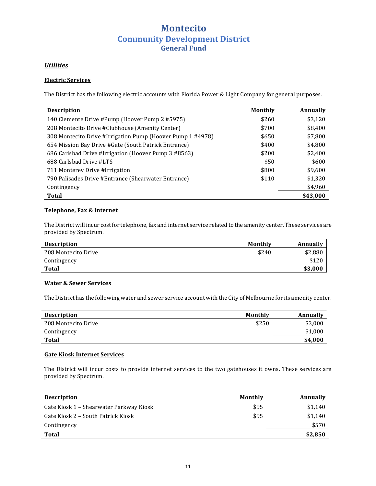#### *Utilities*

#### **Electric Services**

The District has the following electric accounts with Florida Power & Light Company for general purposes.

| <b>Description</b>                                         | <b>Monthly</b> | <b>Annually</b> |
|------------------------------------------------------------|----------------|-----------------|
| 140 Clemente Drive #Pump (Hoover Pump 2 #5975)             | \$260          | \$3,120         |
| 208 Montecito Drive #Clubhouse (Amenity Center)            | \$700          | \$8,400         |
| 308 Montecito Drive #Irrigation Pump (Hoover Pump 1 #4978) | \$650          | \$7,800         |
| 654 Mission Bay Drive #Gate (South Patrick Entrance)       | \$400          | \$4,800         |
| 686 Carlsbad Drive #Irrigation (Hoover Pump 3 #8563)       | \$200          | \$2,400         |
| 688 Carlsbad Drive #LTS                                    | \$50           | \$600           |
| 711 Monterey Drive #Irrigation                             | \$800          | \$9,600         |
| 790 Palisades Drive #Entrance (Shearwater Entrance)        | \$110          | \$1,320         |
| Contingency                                                |                | \$4,960         |
| <b>Total</b>                                               |                | \$43,000        |

#### **Telephone, Fax & Internet**

The District will incur cost for telephone, fax and internet service related to the amenity center. These services are provided by Spectrum.

| <b>Description</b>  | Monthly | Annually |
|---------------------|---------|----------|
| 208 Montecito Drive | \$240   | \$2,880  |
| Contingency         |         | \$120    |
| Total               |         | \$3,000  |

#### **Water & Sewer Services**

The District has the following water and sewer service account with the City of Melbourne for its amenity center.

| <b>Description</b>  | Monthly | Annually |
|---------------------|---------|----------|
| 208 Montecito Drive | \$250   | \$3,000  |
| Contingency         |         | \$1,000  |
| Total               |         | \$4,000  |

#### **Gate Kiosk Internet Services**

The District will incur costs to provide internet services to the two gatehouses it owns. These services are provided by Spectrum.

| <b>Description</b>                      | Monthly | Annually |
|-----------------------------------------|---------|----------|
| Gate Kiosk 1 – Shearwater Parkway Kiosk | \$95    | \$1,140  |
| Gate Kiosk 2 – South Patrick Kiosk      | \$95    | \$1,140  |
| Contingency                             |         | \$570    |
| <b>Total</b>                            |         | \$2,850  |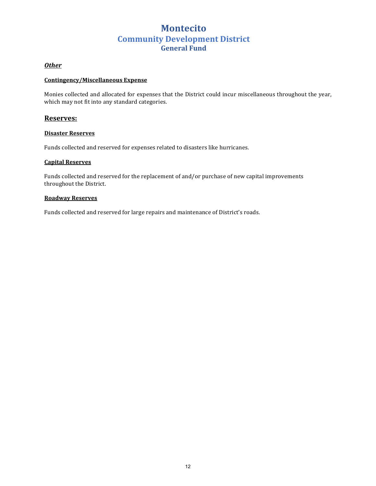*Other*

#### **Contingency/Miscellaneous Expense**

Monies collected and allocated for expenses that the District could incur miscellaneous throughout the year, which may not fit into any standard categories.

#### **Reserves:**

#### **Disaster Reserves**

Funds collected and reserved for expenses related to disasters like hurricanes.

#### **Capital Reserves**

Funds collected and reserved for the replacement of and/or purchase of new capital improvements throughout the District.

#### **Roadway Reserves**

Funds collected and reserved for large repairs and maintenance of District's roads.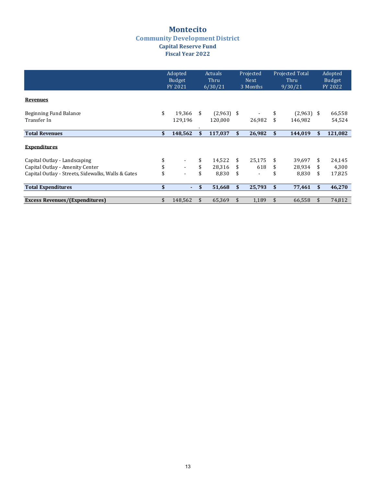### **Montecito Community Development District Capital Reserve Fund Fiscal Year 2022**

|                                                    | Adopted<br><b>Budget</b><br>FY 2021 | <b>Actuals</b><br>Thru<br>6/30/21 |              | Projected<br><b>Next</b><br>3 Months | <b>Projected Total</b><br>Thru<br>9/30/21 |              | Adopted<br><b>Budget</b><br>FY 2022 |         |
|----------------------------------------------------|-------------------------------------|-----------------------------------|--------------|--------------------------------------|-------------------------------------------|--------------|-------------------------------------|---------|
| <b>Revenues</b>                                    |                                     |                                   |              |                                      |                                           |              |                                     |         |
| Beginning Fund Balance                             | \$<br>19.366                        | \$<br>$(2,963)$ \$                |              |                                      |                                           | $(2,963)$ \$ |                                     | 66,558  |
| Transfer In                                        | 129,196                             | 120,000                           |              | 26,982                               | \$                                        | 146,982      |                                     | 54,524  |
| <b>Total Revenues</b>                              | \$<br>148,562                       | \$<br>117,037                     | \$           | 26,982                               | \$                                        | 144,019      | \$                                  | 121,082 |
| <b>Expenditures</b>                                |                                     |                                   |              |                                      |                                           |              |                                     |         |
| Capital Outlay - Landscaping                       |                                     | \$<br>14,522                      | \$.          | 25.175                               | \$                                        | 39,697       | \$                                  | 24,145  |
| Capital Outlay - Amenity Center                    | \$<br>$\sim$                        | \$<br>28,316                      | S            | 618                                  | \$                                        | 28,934       | \$                                  | 4,300   |
| Capital Outlay - Streets, Sidewalks, Walls & Gates |                                     | \$<br>8,830                       | \$           |                                      | \$                                        | 8,830        | \$                                  | 17,825  |
| <b>Total Expenditures</b>                          | \$<br>٠.                            | \$<br>51,668                      | \$<br>25,793 |                                      | \$<br>77,461                              |              | \$                                  | 46,270  |
| <b>Excess Revenues/(Expenditures)</b>              | 148,562                             | \$<br>65,369                      |              | 1,189                                | \$                                        | 66,558       |                                     | 74,812  |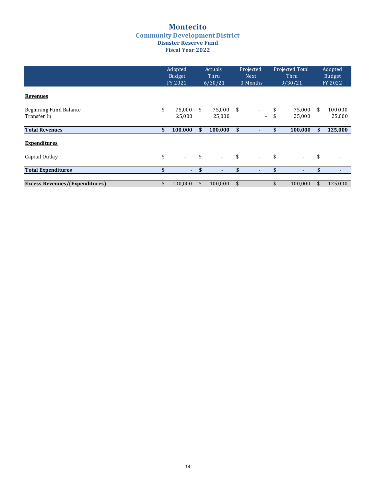#### **Montecito Community Development District Disaster Reserve Fund Fiscal Year 2022**

|                                       | Adopted<br>Budget<br>FY 2021 | <b>Actuals</b><br>Thru<br>6/30/21 |                    | Projected<br><b>Next</b><br>3 Months |          | <b>Projected Total</b><br>Thru<br>9/30/21 |    | Adopted<br>Budget<br>FY 2022 |
|---------------------------------------|------------------------------|-----------------------------------|--------------------|--------------------------------------|----------|-------------------------------------------|----|------------------------------|
| <b>Revenues</b>                       |                              |                                   |                    |                                      |          |                                           |    |                              |
| Beginning Fund Balance<br>Transfer In | \$<br>75,000<br>25,000       | \$<br>75,000<br>25,000            | - \$               | ۰.                                   | \$<br>\$ | 75,000<br>25,000                          | \$ | 100,000<br>25,000            |
| <b>Total Revenues</b>                 | \$<br>100,000                | \$<br>100,000                     | $\mathbf{\hat{S}}$ |                                      | \$       | 100,000                                   | \$ | 125,000                      |
| <b>Expenditures</b>                   |                              |                                   |                    |                                      |          |                                           |    |                              |
| Capital Outlay                        | \$<br>$\sim$                 | \$<br>$\overline{\phantom{a}}$    | \$                 | $\blacksquare$                       | \$       | $\sim$                                    | \$ |                              |
| <b>Total Expenditures</b>             | \$<br>٠.                     | \$                                | \$                 | ٠                                    | \$       | ۰                                         | \$ |                              |
| <b>Excess Revenues/(Expenditures)</b> | \$<br>100,000                | \$<br>100,000                     | \$                 |                                      |          | 100,000                                   |    | 125,000                      |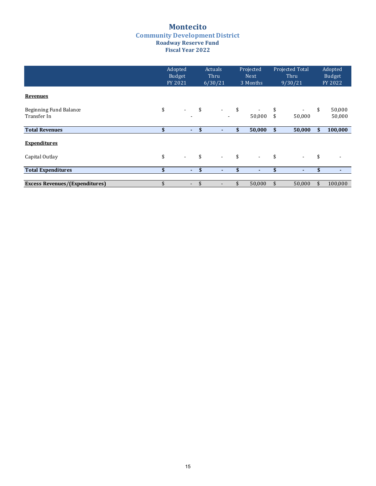#### **Montecito Community Development District Roadway Reserve Fund Fiscal Year 2022**

|                                       | Adopted<br>Budget<br>FY 2021   |      | <b>Actuals</b><br>Thru<br>6/30/21 | Projected<br><b>Next</b><br>3 Months |        | Projected Total<br>Thru<br>9/30/21 |                  | Adopted<br>Budget<br>FY 2022 |
|---------------------------------------|--------------------------------|------|-----------------------------------|--------------------------------------|--------|------------------------------------|------------------|------------------------------|
| <b>Revenues</b>                       |                                |      |                                   |                                      |        |                                    |                  |                              |
| Beginning Fund Balance<br>Transfer In | \$<br>$\overline{\phantom{a}}$ | \$   | $\sim$                            | \$                                   | 50,000 | \$<br>\$                           | $\sim$<br>50,000 | \$<br>50,000<br>50,000       |
| <b>Total Revenues</b>                 | \$<br>$\sim$                   | - \$ | ٠                                 | \$                                   | 50,000 | \$                                 | 50,000           | \$<br>100,000                |
| <b>Expenditures</b>                   |                                |      |                                   |                                      |        |                                    |                  |                              |
| Capital Outlay                        | \$<br>$\sim$                   | \$   | $\sim$                            | \$                                   | $\sim$ | \$                                 | $\blacksquare$   | \$                           |
| <b>Total Expenditures</b>             | \$<br>$\sim$                   | \$   | ٠                                 | \$                                   | ٠      | \$                                 | ٠                | \$<br>۰                      |
|                                       |                                |      |                                   |                                      |        |                                    |                  |                              |
| <b>Excess Revenues/(Expenditures)</b> | $\blacksquare$                 |      |                                   |                                      | 50,000 | \$                                 | 50,000           | \$<br>100,000                |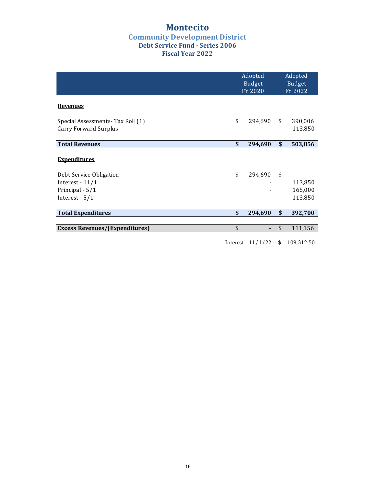### **Montecito Community Development District Debt Service Fund - Series 2006 Fiscal Year 2022**

|                                                                                                            | Adopted<br>Budget<br>FY 2020 | Adopted<br>Budget<br>FY 2022        |
|------------------------------------------------------------------------------------------------------------|------------------------------|-------------------------------------|
| <b>Revenues</b>                                                                                            |                              |                                     |
| Special Assessments- Tax Roll (1)<br>Carry Forward Surplus                                                 | \$<br>294,690                | \$<br>390,006<br>113,850            |
| <b>Total Revenues</b>                                                                                      | \$<br>294,690                | \$<br>503,856                       |
| <b>Expenditures</b><br>Debt Service Obligation<br>Interest - $11/1$<br>Principal - 5/1<br>Interest - $5/1$ | \$<br>294,690                | \$<br>113,850<br>165,000<br>113,850 |
| <b>Total Expenditures</b>                                                                                  | \$<br>294,690                | \$<br>392,700                       |
| <b>Excess Revenues/(Expenditures)</b>                                                                      | \$                           | \$<br>111,156                       |
|                                                                                                            | Interest - $11/1/22$         | \$<br>109,312.50                    |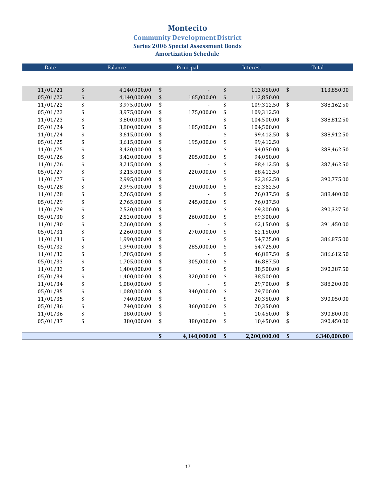### **Montecito**

# **Community Development District<br>Series 2006 Special Assessment Bonds**

**Amortization Schedule** 

| Date     | Balance            |                                 | Prinicpal      |               | Interest     | Total             |              |  |
|----------|--------------------|---------------------------------|----------------|---------------|--------------|-------------------|--------------|--|
|          |                    |                                 |                |               |              |                   |              |  |
| 11/01/21 | \$<br>4,140,000.00 | \$                              | $\overline{a}$ | \$            | 113,850.00   | $\boldsymbol{\$}$ | 113,850.00   |  |
| 05/01/22 | \$<br>4,140,000.00 | \$                              | 165,000.00     | \$            | 113,850.00   |                   |              |  |
| 11/01/22 | \$<br>3,975,000.00 | \$                              |                | \$            | 109,312.50   | \$                | 388,162.50   |  |
| 05/01/23 | \$<br>3,975,000.00 | \$                              | 175,000.00     | \$            | 109,312.50   |                   |              |  |
| 11/01/23 | \$<br>3,800,000.00 | \$                              |                | \$            | 104,500.00   | \$                | 388,812.50   |  |
| 05/01/24 | \$<br>3,800,000.00 | \$                              | 185,000.00     | \$            | 104,500.00   |                   |              |  |
| 11/01/24 | \$<br>3,615,000.00 | \$                              |                | \$            | 99,412.50    | \$                | 388,912.50   |  |
| 05/01/25 | \$<br>3,615,000.00 | \$                              | 195,000.00     | \$            | 99,412.50    |                   |              |  |
| 11/01/25 | \$<br>3,420,000.00 | \$                              |                | \$            | 94,050.00    | \$                | 388,462.50   |  |
| 05/01/26 | \$<br>3,420,000.00 | \$                              | 205,000.00     | \$            | 94,050.00    |                   |              |  |
| 11/01/26 | \$<br>3,215,000.00 | \$                              |                | \$            | 88,412.50    | \$                | 387,462.50   |  |
| 05/01/27 | \$<br>3,215,000.00 | \$                              | 220,000.00     | \$            | 88,412.50    |                   |              |  |
| 11/01/27 | \$<br>2,995,000.00 | \$                              |                | \$            | 82,362.50    | \$                | 390,775.00   |  |
| 05/01/28 | \$<br>2,995,000.00 | \$                              | 230,000.00     | \$            | 82,362.50    |                   |              |  |
| 11/01/28 | \$<br>2,765,000.00 | \$                              |                | \$            | 76,037.50    | \$                | 388,400.00   |  |
| 05/01/29 | \$<br>2,765,000.00 | \$                              | 245,000.00     | \$            | 76,037.50    |                   |              |  |
| 11/01/29 | \$<br>2,520,000.00 | \$                              |                | \$            | 69,300.00    | \$                | 390,337.50   |  |
| 05/01/30 | \$<br>2,520,000.00 | \$                              | 260,000.00     | \$            | 69,300.00    |                   |              |  |
| 11/01/30 | \$<br>2,260,000.00 | \$                              |                | \$            | 62,150.00    | \$                | 391,450.00   |  |
| 05/01/31 | \$<br>2,260,000.00 | \$                              | 270,000.00     | \$            | 62,150.00    |                   |              |  |
| 11/01/31 | \$<br>1,990,000.00 | \$                              |                | \$            | 54,725.00    | \$                | 386,875.00   |  |
| 05/01/32 | \$<br>1,990,000.00 | \$                              | 285,000.00     | \$            | 54,725.00    |                   |              |  |
| 11/01/32 | \$<br>1,705,000.00 | \$                              |                | \$            | 46,887.50    | \$                | 386,612.50   |  |
| 05/01/33 | \$<br>1,705,000.00 | \$                              | 305,000.00     | \$            | 46,887.50    |                   |              |  |
| 11/01/33 | \$<br>1,400,000.00 | \$                              |                | \$            | 38,500.00    | \$                | 390,387.50   |  |
| 05/01/34 | \$<br>1,400,000.00 | \$                              | 320,000.00     | \$            | 38,500.00    |                   |              |  |
| 11/01/34 | \$<br>1,080,000.00 | \$                              |                | \$            | 29,700.00    | \$                | 388,200.00   |  |
| 05/01/35 | \$<br>1,080,000.00 | \$                              | 340,000.00     | \$            | 29,700.00    |                   |              |  |
| 11/01/35 | \$<br>740,000.00   | \$                              |                | \$            | 20,350.00    | \$                | 390,050.00   |  |
| 05/01/36 | \$<br>740,000.00   | \$                              | 360,000.00     | \$            | 20,350.00    |                   |              |  |
| 11/01/36 | \$<br>380,000.00   | \$                              |                | \$            | 10,450.00    | \$                | 390,800.00   |  |
| 05/01/37 | \$<br>380,000.00   | \$                              | 380,000.00     | \$            | 10,450.00    | \$                | 390,450.00   |  |
|          |                    | $\boldsymbol{\hat{\mathbf{s}}}$ | 4.140.000.00   | $\mathbf{\$}$ | 2.200.000.00 | $\mathbf{\$}$     | 6.340.000.00 |  |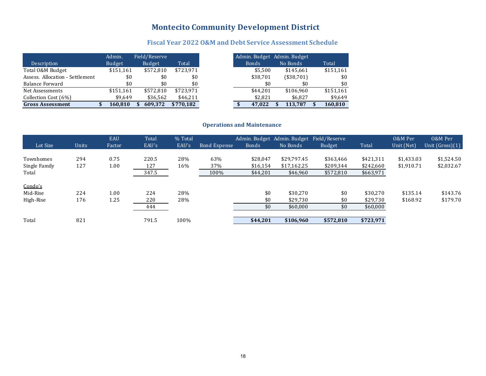### **Montecito Community Development District**

### Fiscal Year 2022 O&M and Debt Service Assessment Schedule

|                                 | Admin.    | Field/Reserve |           |
|---------------------------------|-----------|---------------|-----------|
| Description                     | Budget    | <b>Budget</b> | Total     |
| Total O&M Budget                | \$151.161 | \$572.810     | \$723.971 |
| Assess. Allocation - Settlement | \$0       | \$0           | \$0       |
| Balance Forward                 | \$0       | \$0           | \$0       |
| Net Assessments                 | \$151,161 | \$572.810     | \$723.971 |
| Collection Cost (6%)            | \$9.649   | \$36,562      | \$46,211  |
| <b>Gross Assessment</b>         | 160,810   | 609.372       | \$770,182 |

#### **Operations and Maintenance**

| Lot Size                            | Units      | <b>EAU</b><br>Factor | Total<br>EAU's        | % Total<br>EAU's | <b>Bond Expense</b> | <b>Bonds</b>                     | Admin. Budget Admin. Budget Field/Reserve<br>No Bonds | <b>Budget</b>                       | Total                               | 0&M Per<br>Unit (Net)    | 0&M Per<br>Unit $(Gross)(1)$ |
|-------------------------------------|------------|----------------------|-----------------------|------------------|---------------------|----------------------------------|-------------------------------------------------------|-------------------------------------|-------------------------------------|--------------------------|------------------------------|
| Townhomes<br>Single Family<br>Total | 294<br>127 | 0.75<br>1.00         | 220.5<br>127<br>347.5 | 28%<br>16%       | 63%<br>37%<br>100%  | \$28,047<br>\$16,154<br>\$44,201 | \$29.797.45<br>\$17.162.25<br>\$46,960                | \$363,466<br>\$209.344<br>\$572,810 | \$421,311<br>\$242,660<br>\$663,971 | \$1.433.03<br>\$1.910.71 | \$1,524.50<br>\$2,032.67     |
| Condo's<br>Mid-Rise<br>High-Rise    | 224<br>176 | 1.00<br>1.25         | 224<br>220<br>444     | 28%<br>28%       |                     | \$0<br>\$0<br>\$0                | \$30.270<br>\$29,730<br>\$60,000                      | \$0<br>\$0<br>\$0                   | \$30.270<br>\$29,730<br>\$60,000    | \$135.14<br>\$168.92     | \$143.76<br>\$179.70         |
| Total                               | 821        |                      | 791.5                 | 100%             |                     | \$44,201                         | \$106,960                                             | \$572,810                           | \$723,971                           |                          |                              |